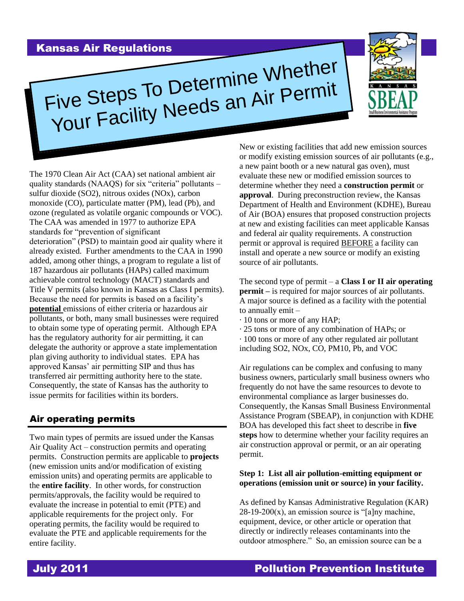## Kansas Air Regulations



The 1970 Clean Air Act (CAA) set national ambient air quality standards (NAAQS) for six "criteria" pollutants – sulfur dioxide (SO2), nitrous oxides (NOx), carbon monoxide (CO), particulate matter (PM), lead (Pb), and ozone (regulated as volatile organic compounds or VOC). The CAA was amended in 1977 to authorize EPA standards for "prevention of significant deterioration" (PSD) to maintain good air quality where it already existed. Further amendments to the CAA in 1990 added, among other things, a program to regulate a list of 187 hazardous air pollutants (HAPs) called maximum achievable control technology (MACT) standards and Title V permits (also known in Kansas as Class I permits). Because the need for permits is based on a facility's **potential** emissions of either criteria or hazardous air pollutants, or both, many small businesses were required to obtain some type of operating permit. Although EPA has the regulatory authority for air permitting, it can delegate the authority or approve a state implementation plan giving authority to individual states. EPA has approved Kansas' air permitting SIP and thus has transferred air permitting authority here to the state. Consequently, the state of Kansas has the authority to issue permits for facilities within its borders.

## Air operating permits

Two main types of permits are issued under the Kansas Air Quality Act – construction permits and operating permits. Construction permits are applicable to **projects** (new emission units and/or modification of existing emission units) and operating permits are applicable to the **entire facility**. In other words, for construction permits/approvals, the facility would be required to evaluate the increase in potential to emit (PTE) and applicable requirements for the project only. For operating permits, the facility would be required to evaluate the PTE and applicable requirements for the entire facility.

New or existing facilities that add new emission sources or modify existing emission sources of air pollutants (e.g., a new paint booth or a new natural gas oven), must evaluate these new or modified emission sources to determine whether they need a **construction permit** or **approval**. During preconstruction review, the Kansas Department of Health and Environment (KDHE), Bureau of Air (BOA) ensures that proposed construction projects at new and existing facilities can meet applicable Kansas and federal air quality requirements. A construction permit or approval is required BEFORE a facility can install and operate a new source or modify an existing source of air pollutants.

The second type of permit – a **Class I or II air operating permit** – is required for major sources of air pollutants. A major source is defined as a facility with the potential to annually emit –

- · 10 tons or more of any HAP;
- · 25 tons or more of any combination of HAPs; or · 100 tons or more of any other regulated air pollutant including SO2, NOx, CO, PM10, Pb, and VOC

Air regulations can be complex and confusing to many business owners, particularly small business owners who frequently do not have the same resources to devote to environmental compliance as larger businesses do. Consequently, the Kansas Small Business Environmental Assistance Program (SBEAP), in conjunction with KDHE BOA has developed this fact sheet to describe in **five steps** how to determine whether your facility requires an air construction approval or permit, or an air operating permit.

### **Step 1: List all air pollution-emitting equipment or operations (emission unit or source) in your facility.**

As defined by Kansas Administrative Regulation (KAR)  $28-19-200(x)$ , an emission source is "[a]ny machine, equipment, device, or other article or operation that directly or indirectly releases contaminants into the outdoor atmosphere." So, an emission source can be a



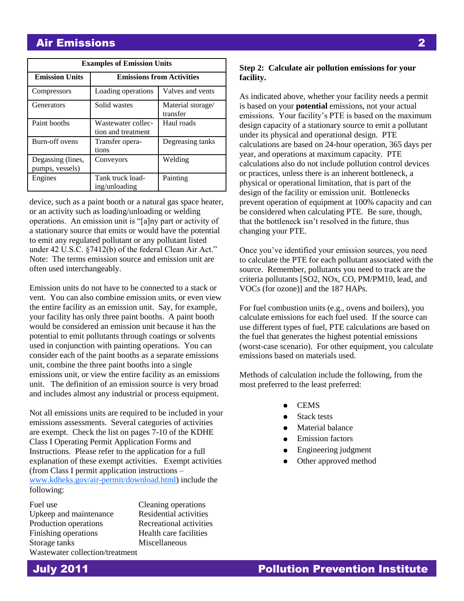# Air Emissions 2

| <b>Examples of Emission Units</b>    |                                          |                               |  |
|--------------------------------------|------------------------------------------|-------------------------------|--|
| <b>Emission Units</b>                | <b>Emissions from Activities</b>         |                               |  |
| Compressors                          | Loading operations                       | Valves and vents              |  |
| Generators                           | Solid wastes                             | Material storage/<br>transfer |  |
| Paint booths                         | Wastewater collec-<br>tion and treatment | Haul roads                    |  |
| Burn-off ovens                       | Transfer opera-<br>tions                 | Degreasing tanks              |  |
| Degassing (lines,<br>pumps, vessels) | Conveyors                                | Welding                       |  |
| Engines                              | Tank truck load-<br>ing/unloading        | Painting                      |  |

device, such as a paint booth or a natural gas space heater, or an activity such as loading/unloading or welding operations. An emission unit is "[a]ny part or activity of a stationary source that emits or would have the potential to emit any regulated pollutant or any pollutant listed under 42 U.S.C. §7412(b) of the federal Clean Air Act." Note: The terms emission source and emission unit are often used interchangeably.

Emission units do not have to be connected to a stack or vent. You can also combine emission units, or even view the entire facility as an emission unit. Say, for example, your facility has only three paint booths. A paint booth would be considered an emission unit because it has the potential to emit pollutants through coatings or solvents used in conjunction with painting operations. You can consider each of the paint booths as a separate emissions unit, combine the three paint booths into a single emissions unit, or view the entire facility as an emissions unit. The definition of an emission source is very broad and includes almost any industrial or process equipment.

Not all emissions units are required to be included in your emissions assessments. Several categories of activities are exempt. Check the list on pages 7-10 of the KDHE Class I Operating Permit Application Forms and Instructions. Please refer to the application for a full explanation of these exempt activities. Exempt activities (from Class I permit application instructions – [www.kdheks.gov/air-permit/download.html\)](http://www.kdheks.gov/air-permit/download.html) include the following:

Fuel use Cleaning operations Upkeep and maintenance Residential activities Production operations Recreational activities Finishing operations Health care facilities Storage tanks Miscellaneous Wastewater collection/treatment

### **Step 2: Calculate air pollution emissions for your facility.**

As indicated above, whether your facility needs a permit is based on your **potential** emissions, not your actual emissions. Your facility's PTE is based on the maximum design capacity of a stationary source to emit a pollutant under its physical and operational design. PTE calculations are based on 24-hour operation, 365 days per year, and operations at maximum capacity. PTE calculations also do not include pollution control devices or practices, unless there is an inherent bottleneck, a physical or operational limitation, that is part of the design of the facility or emission unit. Bottlenecks prevent operation of equipment at 100% capacity and can be considered when calculating PTE. Be sure, though, that the bottleneck isn't resolved in the future, thus changing your PTE.

Once you've identified your emission sources, you need to calculate the PTE for each pollutant associated with the source. Remember, pollutants you need to track are the criteria pollutants [SO2, NOx, CO, PM/PM10, lead, and VOCs (for ozone)] and the 187 HAPs.

For fuel combustion units (e.g., ovens and boilers), you calculate emissions for each fuel used. If the source can use different types of fuel, PTE calculations are based on the fuel that generates the highest potential emissions (worst-case scenario). For other equipment, you calculate emissions based on materials used.

Methods of calculation include the following, from the most preferred to the least preferred:

- **CEMS**  $\bullet$
- Stack tests
- Material balance
- Emission factors
- Engineering judgment  $\bullet$
- Other approved method

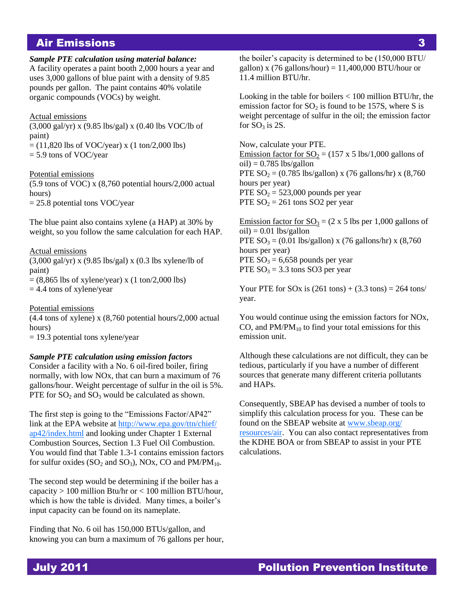## Air Emissions 3

#### *Sample PTE calculation using material balance:*

A facility operates a paint booth 2,000 hours a year and uses 3,000 gallons of blue paint with a density of 9.85 pounds per gallon. The paint contains 40% volatile organic compounds (VOCs) by weight.

#### Actual emissions

(3,000 gal/yr) x (9.85 lbs/gal) x (0.40 lbs VOC/lb of paint)

 $= (11,820$  lbs of VOC/year) x  $(1 \text{ ton}/2,000 \text{ lbs})$  $= 5.9$  tons of VOC/year

#### Potential emissions

(5.9 tons of VOC) x (8,760 potential hours/2,000 actual hours)

= 25.8 potential tons VOC/year

The blue paint also contains xylene (a HAP) at 30% by weight, so you follow the same calculation for each HAP.

#### Actual emissions

 $(3,000 \text{ gal/yr})$  x  $(9.85 \text{ lbs/gal})$  x  $(0.3 \text{ lbs} \text{ xylene/lb of})$ paint)  $= (8,865$  lbs of xylene/year) x  $(1 \text{ ton}/2,000 \text{ lbs})$ 

 $= 4.4$  tons of xylene/year

#### Potential emissions

(4.4 tons of xylene) x (8,760 potential hours/2,000 actual hours)

= 19.3 potential tons xylene/year

#### *Sample PTE calculation using emission factors*

Consider a facility with a No. 6 oil-fired boiler, firing normally, with low NOx, that can burn a maximum of 76 gallons/hour. Weight percentage of sulfur in the oil is 5%. PTE for  $SO_2$  and  $SO_3$  would be calculated as shown.

The first step is going to the "Emissions Factor/AP42" link at the EPA website at [http://www.epa.gov/ttn/chief/](http://www.epa.gov/ttn/chief/ap42/index.html) [ap42/index.html](http://www.epa.gov/ttn/chief/ap42/index.html) and looking under Chapter 1 External Combustion Sources, Section 1.3 Fuel Oil Combustion. You would find that Table 1.3-1 contains emission factors for sulfur oxides ( $SO_2$  and  $SO_3$ ), NOx, CO and PM/PM<sub>10</sub>.

The second step would be determining if the boiler has a capacity  $> 100$  million Btu/hr or  $< 100$  million BTU/hour, which is how the table is divided. Many times, a boiler's input capacity can be found on its nameplate.

Finding that No. 6 oil has 150,000 BTUs/gallon, and knowing you can burn a maximum of 76 gallons per hour, the boiler's capacity is determined to be (150,000 BTU/ gallon) x (76 gallons/hour) =  $11,400,000$  BTU/hour or 11.4 million BTU/hr.

Looking in the table for boilers < 100 million BTU/hr, the emission factor for  $SO<sub>2</sub>$  is found to be 157S, where S is weight percentage of sulfur in the oil; the emission factor for  $SO_3$  is 2S.

Now, calculate your PTE. Emission factor for  $SO_2 = (157 \times 5 \text{ lbs}/1,000 \text{ gallons of})$  $oil$ ) = 0.785 lbs/gallon PTE  $SO_2 = (0.785 \text{ lbs/gallon}) \times (76 \text{ gallons/hr}) \times (8,760$ hours per year) PTE  $SO_2 = 523,000$  pounds per year PTE  $SO_2 = 261$  tons SO2 per year

Emission factor for  $SO_3 = (2 \times 5)$  lbs per 1,000 gallons of  $oil$  = 0.01 lbs/gallon PTE  $SO_3 = (0.01 \text{ lbs/gallon}) \times (76 \text{ gallons/hr}) \times (8,760$ hours per year) PTE  $SO_3 = 6,658$  pounds per year PTE  $SO_3 = 3.3$  tons SO3 per year

Your PTE for SOx is  $(261 \text{ tons}) + (3.3 \text{ tons}) = 264 \text{ tons}$ year.

You would continue using the emission factors for NOx, CO, and  $PM/PM_{10}$  to find your total emissions for this emission unit.

Although these calculations are not difficult, they can be tedious, particularly if you have a number of different sources that generate many different criteria pollutants and HAPs.

Consequently, SBEAP has devised a number of tools to simplify this calculation process for you. These can be found on the SBEAP website at [www.sbeap.org/](http://www.sbeap.org/resources/air) [resources/air.](http://www.sbeap.org/resources/air) You can also contact representatives from the KDHE BOA or from SBEAP to assist in your PTE calculations.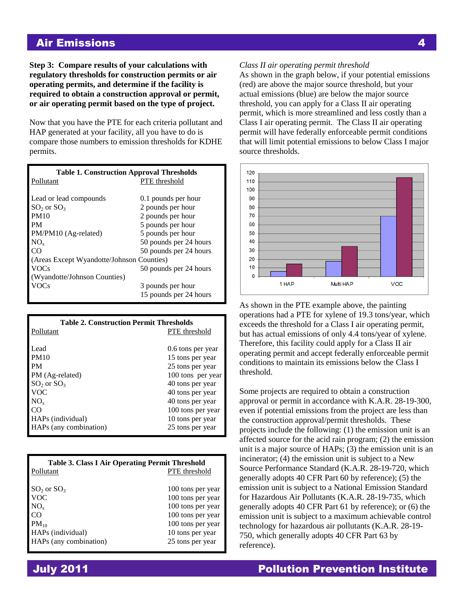## Air Emissions 4

**Step 3: Compare results of your calculations with regulatory thresholds for construction permits or air operating permits, and determine if the facility is required to obtain a construction approval or permit, or air operating permit based on the type of project.**

Now that you have the PTE for each criteria pollutant and HAP generated at your facility, all you have to do is compare those numbers to emission thresholds for KDHE permits.

| <b>Table 1. Construction Approval Thresholds</b> |                        |  |
|--------------------------------------------------|------------------------|--|
| Pollutant                                        | <b>PTE</b> threshold   |  |
|                                                  |                        |  |
| Lead or lead compounds                           | 0.1 pounds per hour    |  |
| $SO2$ or $SO3$                                   | 2 pounds per hour      |  |
| <b>PM10</b>                                      | 2 pounds per hour      |  |
| <b>PM</b>                                        | 5 pounds per hour      |  |
| PM/PM10 (Ag-related)                             | 5 pounds per hour      |  |
| $NO_{x}$                                         | 50 pounds per 24 hours |  |
| CO                                               | 50 pounds per 24 hours |  |
| (Areas Except Wyandotte/Johnson Counties)        |                        |  |
| <b>VOCs</b>                                      | 50 pounds per 24 hours |  |
| (Wyandotte/Johnson Counties)                     |                        |  |
| <b>VOCs</b>                                      | 3 pounds per hour      |  |
|                                                  | 15 pounds per 24 hours |  |

| <b>Table 2. Construction Permit Thresholds</b> |                      |  |
|------------------------------------------------|----------------------|--|
| Pollutant                                      | <b>PTE</b> threshold |  |
|                                                |                      |  |
| Lead                                           | 0.6 tons per year    |  |
| <b>PM10</b>                                    | 15 tons per year     |  |
| <b>PM</b>                                      | 25 tons per year     |  |
| PM (Ag-related)                                | 100 tons per year    |  |
| $SO2$ or $SO3$                                 | 40 tons per year     |  |
| <b>VOC</b>                                     | 40 tons per year     |  |
| $NO_{x}$                                       | 40 tons per year     |  |
| CO                                             | 100 tons per year    |  |
| HAPs (individual)                              | 10 tons per year     |  |
| HAPs (any combination)                         | 25 tons per year     |  |

| <b>Table 3. Class I Air Operating Permit Threshold</b> |                      |
|--------------------------------------------------------|----------------------|
| Pollutant                                              | <b>PTE</b> threshold |
|                                                        |                      |
| $SO_2$ or $SO_3$                                       | 100 tons per year    |
| <b>VOC</b>                                             | 100 tons per year    |
| $NO_{x}$                                               | 100 tons per year    |
| CO.                                                    | 100 tons per year    |
| $PM_{10}$                                              | 100 tons per year    |
| HAPs (individual)                                      | 10 tons per year     |
| HAPs (any combination)                                 | 25 tons per year     |

#### *Class II air operating permit threshold*

As shown in the graph below, if your potential emissions (red) are above the major source threshold, but your actual emissions (blue) are below the major source threshold, you can apply for a Class II air operating permit, which is more streamlined and less costly than a Class I air operating permit. The Class II air operating permit will have federally enforceable permit conditions that will limit potential emissions to below Class I major source thresholds.



As shown in the PTE example above, the painting operations had a PTE for xylene of 19.3 tons/year, which exceeds the threshold for a Class I air operating permit, but has actual emissions of only 4.4 tons/year of xylene. Therefore, this facility could apply for a Class II air operating permit and accept federally enforceable permit conditions to maintain its emissions below the Class I threshold.

Some projects are required to obtain a construction approval or permit in accordance with K.A.R. 28-19-300, even if potential emissions from the project are less than the construction approval/permit thresholds. These projects include the following: (1) the emission unit is an affected source for the acid rain program; (2) the emission unit is a major source of HAPs; (3) the emission unit is an incinerator; (4) the emission unit is subject to a New Source Performance Standard (K.A.R. 28-19-720, which generally adopts 40 CFR Part 60 by reference); (5) the emission unit is subject to a National Emission Standard for Hazardous Air Pollutants (K.A.R. 28-19-735, which generally adopts 40 CFR Part 61 by reference); or (6) the emission unit is subject to a maximum achievable control technology for hazardous air pollutants (K.A.R. 28-19- 750, which generally adopts 40 CFR Part 63 by reference).